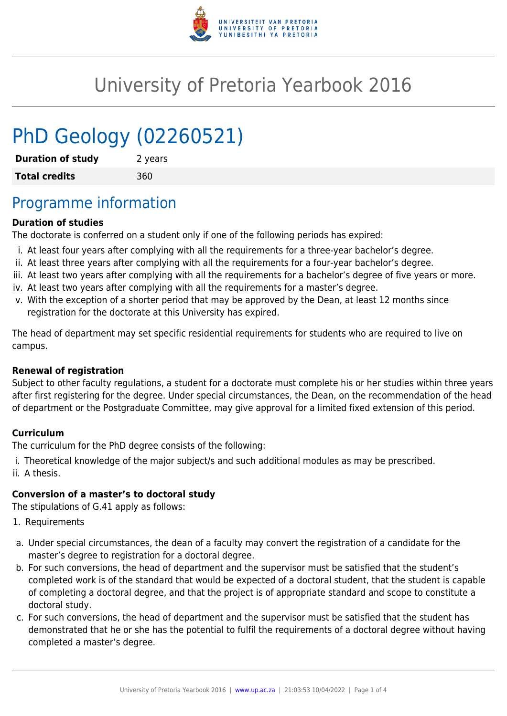

# University of Pretoria Yearbook 2016

# PhD Geology (02260521)

| <b>Duration of study</b> | 2 years |
|--------------------------|---------|
| <b>Total credits</b>     | 360     |

## Programme information

#### **Duration of studies**

The doctorate is conferred on a student only if one of the following periods has expired:

- i. At least four years after complying with all the requirements for a three-year bachelor's degree.
- ii. At least three years after complying with all the requirements for a four-year bachelor's degree.
- iii. At least two years after complying with all the requirements for a bachelor's degree of five years or more.
- iv. At least two years after complying with all the requirements for a master's degree.
- v. With the exception of a shorter period that may be approved by the Dean, at least 12 months since registration for the doctorate at this University has expired.

The head of department may set specific residential requirements for students who are required to live on campus.

#### **Renewal of registration**

Subject to other faculty regulations, a student for a doctorate must complete his or her studies within three years after first registering for the degree. Under special circumstances, the Dean, on the recommendation of the head of department or the Postgraduate Committee, may give approval for a limited fixed extension of this period.

#### **Curriculum**

The curriculum for the PhD degree consists of the following:

i. Theoretical knowledge of the major subject/s and such additional modules as may be prescribed. ii. A thesis.

#### **Conversion of a master's to doctoral study**

The stipulations of G.41 apply as follows:

- 1. Requirements
- a. Under special circumstances, the dean of a faculty may convert the registration of a candidate for the master's degree to registration for a doctoral degree.
- b. For such conversions, the head of department and the supervisor must be satisfied that the student's completed work is of the standard that would be expected of a doctoral student, that the student is capable of completing a doctoral degree, and that the project is of appropriate standard and scope to constitute a doctoral study.
- c. For such conversions, the head of department and the supervisor must be satisfied that the student has demonstrated that he or she has the potential to fulfil the requirements of a doctoral degree without having completed a master's degree.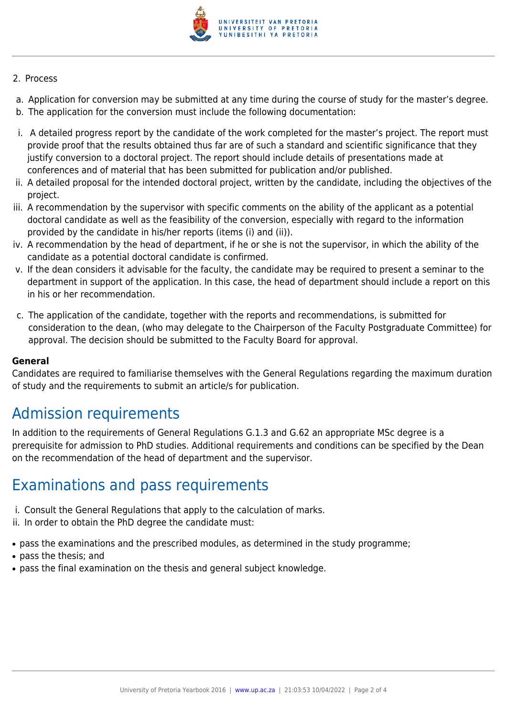

#### 2. Process

- a. Application for conversion may be submitted at any time during the course of study for the master's degree.
- b. The application for the conversion must include the following documentation:
- i. A detailed progress report by the candidate of the work completed for the master's project. The report must provide proof that the results obtained thus far are of such a standard and scientific significance that they justify conversion to a doctoral project. The report should include details of presentations made at conferences and of material that has been submitted for publication and/or published.
- ii. A detailed proposal for the intended doctoral project, written by the candidate, including the objectives of the project.
- iii. A recommendation by the supervisor with specific comments on the ability of the applicant as a potential doctoral candidate as well as the feasibility of the conversion, especially with regard to the information provided by the candidate in his/her reports (items (i) and (ii)).
- iv. A recommendation by the head of department, if he or she is not the supervisor, in which the ability of the candidate as a potential doctoral candidate is confirmed.
- v. If the dean considers it advisable for the faculty, the candidate may be required to present a seminar to the department in support of the application. In this case, the head of department should include a report on this in his or her recommendation.
- c. The application of the candidate, together with the reports and recommendations, is submitted for consideration to the dean, (who may delegate to the Chairperson of the Faculty Postgraduate Committee) for approval. The decision should be submitted to the Faculty Board for approval.

#### **General**

Candidates are required to familiarise themselves with the General Regulations regarding the maximum duration of study and the requirements to submit an article/s for publication.

## Admission requirements

In addition to the requirements of General Regulations G.1.3 and G.62 an appropriate MSc degree is a prerequisite for admission to PhD studies. Additional requirements and conditions can be specified by the Dean on the recommendation of the head of department and the supervisor.

### Examinations and pass requirements

- i. Consult the General Regulations that apply to the calculation of marks.
- ii. In order to obtain the PhD degree the candidate must:
- pass the examinations and the prescribed modules, as determined in the study programme;
- pass the thesis: and
- pass the final examination on the thesis and general subject knowledge.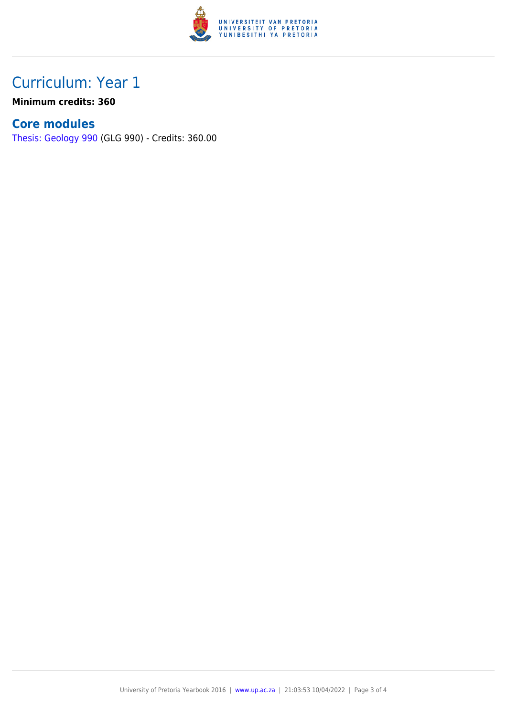

## Curriculum: Year 1

**Minimum credits: 360**

### **Core modules**

[Thesis: Geology 990](https://www.up.ac.za/faculty-of-education/yearbooks/2016/modules/view/GLG 990) (GLG 990) - Credits: 360.00